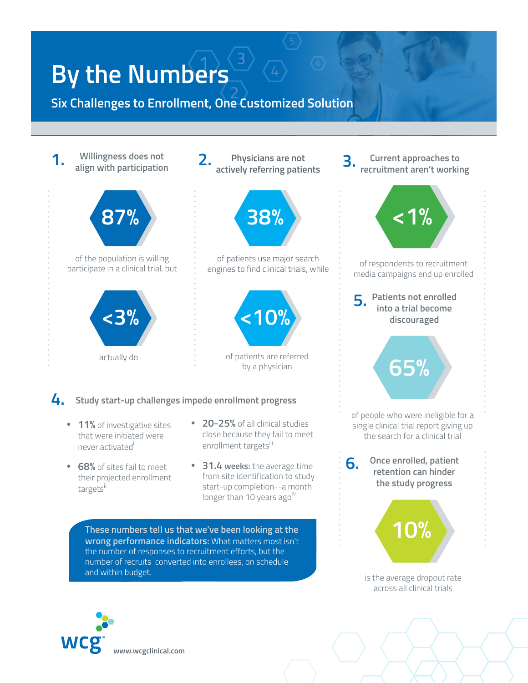## **By the Numbers**

**Six Challenges to Enrollment, One Customized Solution**



is the average dropout rate across all clinical trials

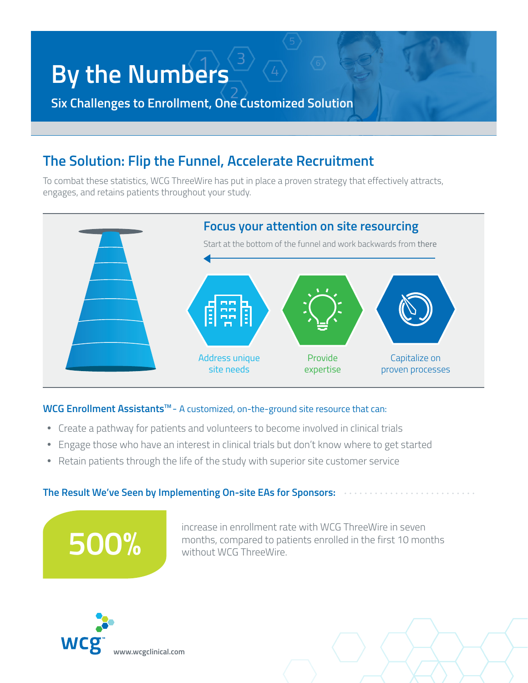## **By the Numbers**

**Six Challenges to Enrollment, One Customized Solution**

### **The Solution: Flip the Funnel, Accelerate Recruitment**

To combat these statistics, WCG ThreeWire has put in place a proven strategy that effectively attracts, engages, and retains patients throughout your study.



#### **WCG Enrollment AssistantsTM** -A customized, on-the-ground site resource that can:

- Create a pathway for patients and volunteers to become involved in clinical trials
- Engage those who have an interest in clinical trials but don't know where to get started
- Retain patients through the life of the study with superior site customer service

#### **The Result We've Seen by Implementing On-site EAs for Sponsors:**

increase in enrollment rate with WCG ThreeWire in seven months, compared to patients enrolled in the first 10 months without WCG ThreeWire.



**500%**